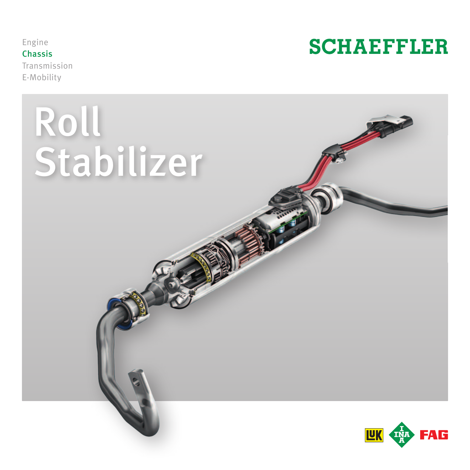Engine Chassis Transmission E-Mobility